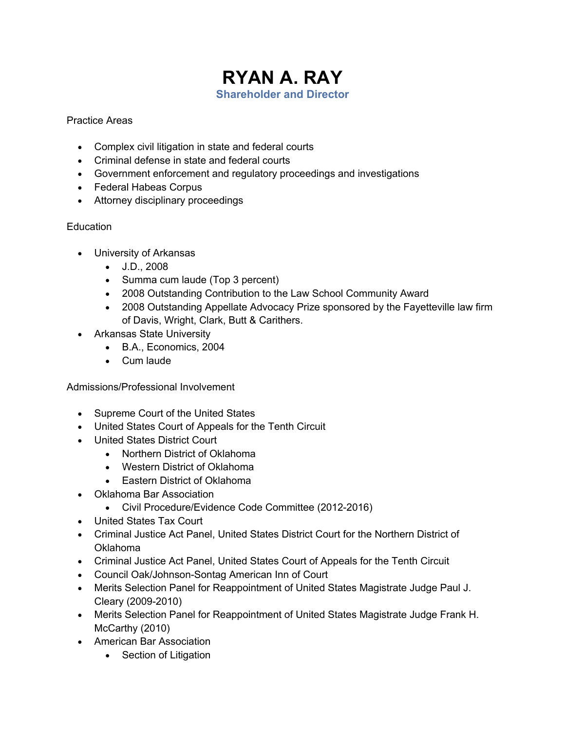# **RYAN A. RAY Shareholder and Director**

#### Practice Areas

- Complex civil litigation in state and federal courts
- Criminal defense in state and federal courts
- Government enforcement and regulatory proceedings and investigations
- Federal Habeas Corpus
- Attorney disciplinary proceedings

# **Education**

- University of Arkansas
	- J.D., 2008
	- Summa cum laude (Top 3 percent)
	- 2008 Outstanding Contribution to the Law School Community Award
	- 2008 Outstanding Appellate Advocacy Prize sponsored by the Fayetteville law firm of Davis, Wright, Clark, Butt & Carithers.
- Arkansas State University
	- B.A., Economics, 2004
	- Cum laude

# Admissions/Professional Involvement

- Supreme Court of the United States
- United States Court of Appeals for the Tenth Circuit
- United States District Court
	- Northern District of Oklahoma
	- Western District of Oklahoma
	- Eastern District of Oklahoma
- Oklahoma Bar Association
	- Civil Procedure/Evidence Code Committee (2012-2016)
- United States Tax Court
- Criminal Justice Act Panel, United States District Court for the Northern District of Oklahoma
- Criminal Justice Act Panel, United States Court of Appeals for the Tenth Circuit
- Council Oak/Johnson-Sontag American Inn of Court
- Merits Selection Panel for Reappointment of United States Magistrate Judge Paul J. Cleary (2009-2010)
- Merits Selection Panel for Reappointment of United States Magistrate Judge Frank H. McCarthy (2010)
- American Bar Association
	- Section of Litigation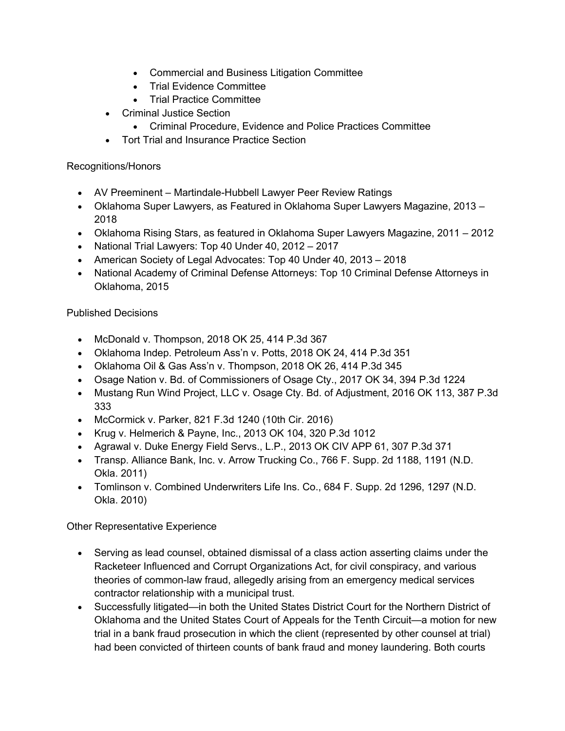- Commercial and Business Litigation Committee
- Trial Evidence Committee
- Trial Practice Committee
- Criminal Justice Section
	- Criminal Procedure, Evidence and Police Practices Committee
- Tort Trial and Insurance Practice Section

#### Recognitions/Honors

- AV Preeminent Martindale-Hubbell Lawyer Peer Review Ratings
- Oklahoma Super Lawyers, as Featured in Oklahoma Super Lawyers Magazine, 2013 2018
- Oklahoma Rising Stars, as featured in Oklahoma Super Lawyers Magazine, 2011 2012
- National Trial Lawyers: Top 40 Under 40, 2012 2017
- American Society of Legal Advocates: Top 40 Under 40, 2013 2018
- National Academy of Criminal Defense Attorneys: Top 10 Criminal Defense Attorneys in Oklahoma, 2015

# Published Decisions

- McDonald v. Thompson, 2018 OK 25, 414 P.3d 367
- Oklahoma Indep. Petroleum Ass'n v. Potts, 2018 OK 24, 414 P.3d 351
- Oklahoma Oil & Gas Ass'n v. Thompson, 2018 OK 26, 414 P.3d 345
- Osage Nation v. Bd. of Commissioners of Osage Cty., 2017 OK 34, 394 P.3d 1224
- Mustang Run Wind Project, LLC v. Osage Cty. Bd. of Adjustment, 2016 OK 113, 387 P.3d 333
- McCormick v. Parker, 821 F.3d 1240 (10th Cir. 2016)
- Krug v. Helmerich & Payne, Inc., 2013 OK 104, 320 P.3d 1012
- Agrawal v. Duke Energy Field Servs., L.P., 2013 OK CIV APP 61, 307 P.3d 371
- Transp. Alliance Bank, Inc. v. Arrow Trucking Co., 766 F. Supp. 2d 1188, 1191 (N.D. Okla. 2011)
- Tomlinson v. Combined Underwriters Life Ins. Co., 684 F. Supp. 2d 1296, 1297 (N.D. Okla. 2010)

# Other Representative Experience

- Serving as lead counsel, obtained dismissal of a class action asserting claims under the Racketeer Influenced and Corrupt Organizations Act, for civil conspiracy, and various theories of common-law fraud, allegedly arising from an emergency medical services contractor relationship with a municipal trust.
- Successfully litigated—in both the United States District Court for the Northern District of Oklahoma and the United States Court of Appeals for the Tenth Circuit—a motion for new trial in a bank fraud prosecution in which the client (represented by other counsel at trial) had been convicted of thirteen counts of bank fraud and money laundering. Both courts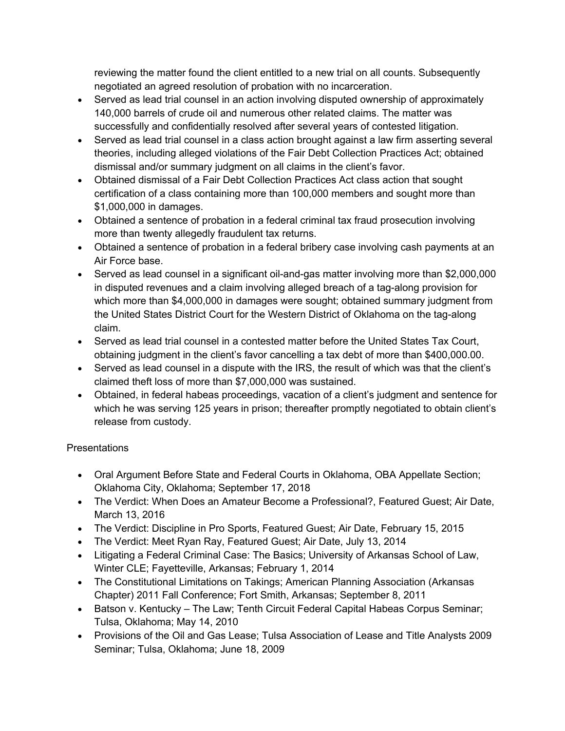reviewing the matter found the client entitled to a new trial on all counts. Subsequently negotiated an agreed resolution of probation with no incarceration.

- Served as lead trial counsel in an action involving disputed ownership of approximately 140,000 barrels of crude oil and numerous other related claims. The matter was successfully and confidentially resolved after several years of contested litigation.
- Served as lead trial counsel in a class action brought against a law firm asserting several theories, including alleged violations of the Fair Debt Collection Practices Act; obtained dismissal and/or summary judgment on all claims in the client's favor.
- Obtained dismissal of a Fair Debt Collection Practices Act class action that sought certification of a class containing more than 100,000 members and sought more than \$1,000,000 in damages.
- Obtained a sentence of probation in a federal criminal tax fraud prosecution involving more than twenty allegedly fraudulent tax returns.
- Obtained a sentence of probation in a federal bribery case involving cash payments at an Air Force base.
- Served as lead counsel in a significant oil-and-gas matter involving more than \$2,000,000 in disputed revenues and a claim involving alleged breach of a tag-along provision for which more than \$4,000,000 in damages were sought; obtained summary judgment from the United States District Court for the Western District of Oklahoma on the tag-along claim.
- Served as lead trial counsel in a contested matter before the United States Tax Court, obtaining judgment in the client's favor cancelling a tax debt of more than \$400,000.00.
- Served as lead counsel in a dispute with the IRS, the result of which was that the client's claimed theft loss of more than \$7,000,000 was sustained.
- Obtained, in federal habeas proceedings, vacation of a client's judgment and sentence for which he was serving 125 years in prison; thereafter promptly negotiated to obtain client's release from custody.

# **Presentations**

- Oral Argument Before State and Federal Courts in Oklahoma, OBA Appellate Section; Oklahoma City, Oklahoma; September 17, 2018
- The Verdict: When Does an Amateur Become a Professional?, Featured Guest; Air Date, March 13, 2016
- The Verdict: Discipline in Pro Sports, Featured Guest; Air Date, February 15, 2015
- The Verdict: Meet Ryan Ray, Featured Guest; Air Date, July 13, 2014
- Litigating a Federal Criminal Case: The Basics; University of Arkansas School of Law, Winter CLE; Fayetteville, Arkansas; February 1, 2014
- The Constitutional Limitations on Takings; American Planning Association (Arkansas Chapter) 2011 Fall Conference; Fort Smith, Arkansas; September 8, 2011
- Batson v. Kentucky The Law; Tenth Circuit Federal Capital Habeas Corpus Seminar; Tulsa, Oklahoma; May 14, 2010
- Provisions of the Oil and Gas Lease; Tulsa Association of Lease and Title Analysts 2009 Seminar; Tulsa, Oklahoma; June 18, 2009